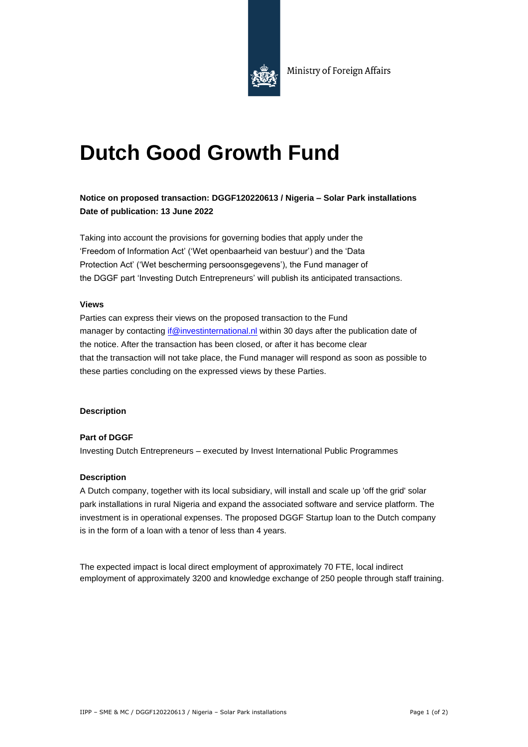

# **Dutch Good Growth Fund**

### **Notice on proposed transaction: DGGF120220613 / Nigeria – Solar Park installations Date of publication: 13 June 2022**

Taking into account the provisions for governing bodies that apply under the 'Freedom of Information Act' ('Wet openbaarheid van bestuur') and the 'Data Protection Act' ('Wet bescherming persoonsgegevens'), the Fund manager of the DGGF part 'Investing Dutch Entrepreneurs' will publish its anticipated transactions.

#### **Views**

Parties can express their views on the proposed transaction to the Fund manager by contacting if @investinternational.nl within 30 days after the publication date of the notice. After the transaction has been closed, or after it has become clear that the transaction will not take place, the Fund manager will respond as soon as possible to these parties concluding on the expressed views by these Parties.

#### **Description**

#### **Part of DGGF**

Investing Dutch Entrepreneurs – executed by Invest International Public Programmes

#### **Description**

A Dutch company, together with its local subsidiary, will install and scale up 'off the grid' solar park installations in rural Nigeria and expand the associated software and service platform. The investment is in operational expenses. The proposed DGGF Startup loan to the Dutch company is in the form of a loan with a tenor of less than 4 years.

The expected impact is local direct employment of approximately 70 FTE, local indirect employment of approximately 3200 and knowledge exchange of 250 people through staff training.